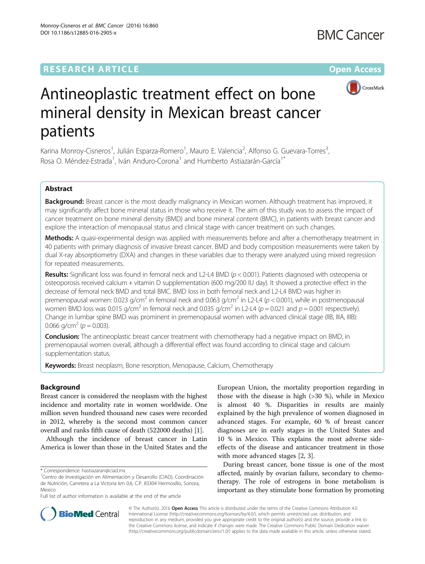# **RESEARCH ARTICLE External Structure Community Community Community Community Community Community Community Community**

# Antineoplastic treatment effect on bone mineral density in Mexican breast cancer patients

Karina Monroy-Cisneros<sup>1</sup>, Julián Esparza-Romero<sup>1</sup>, Mauro E. Valencia<sup>2</sup>, Alfonso G. Guevara-Torres<sup>3</sup> , Rosa O. Méndez-Estrada<sup>1</sup>, Iván Anduro-Corona<sup>1</sup> and Humberto Astiazarán-García<sup>1\*</sup>

# Abstract

Background: Breast cancer is the most deadly malignancy in Mexican women. Although treatment has improved, it may significantly affect bone mineral status in those who receive it. The aim of this study was to assess the impact of cancer treatment on bone mineral density (BMD) and bone mineral content (BMC), in patients with breast cancer and explore the interaction of menopausal status and clinical stage with cancer treatment on such changes.

**Methods:** A quasi-experimental design was applied with measurements before and after a chemotherapy treatment in 40 patients with primary diagnosis of invasive breast cancer. BMD and body composition measurements were taken by dual X-ray absorptiometry (DXA) and changes in these variables due to therapy were analyzed using mixed regression for repeated measurements.

**Results:** Significant loss was found in femoral neck and L2-L4 BMD ( $p < 0.001$ ). Patients diagnosed with osteopenia or osteoporosis received calcium + vitamin D supplementation (600 mg/200 IU day). It showed a protective effect in the decrease of femoral neck BMD and total BMC. BMD loss in both femoral neck and L2-L4 BMD was higher in premenopausal women: 0.023 g/cm<sup>2</sup> in femoral neck and 0.063 g/cm<sup>2</sup> in L2-L4 ( $p < 0.001$ ), while in postmenopausal women BMD loss was 0.015 g/cm<sup>2</sup> in femoral neck and 0.035 g/cm<sup>2</sup> in L2-L4 ( $p = 0.021$  and  $p = 0.001$  respectively). Change in lumbar spine BMD was prominent in premenopausal women with advanced clinical stage (IIB, IIIA, IIIB): 0.066 g/cm<sup>2</sup> ( $p = 0.003$ ).

**Conclusion:** The antineoplastic breast cancer treatment with chemotherapy had a negative impact on BMD, in premenopausal women overall, although a differential effect was found according to clinical stage and calcium supplementation status.

Keywords: Breast neoplasm, Bone resorption, Menopause, Calcium, Chemotherapy

# Background

Breast cancer is considered the neoplasm with the highest incidence and mortality rate in women worldwide. One million seven hundred thousand new cases were recorded in 2012, whereby is the second most common cancer overall and ranks fifth cause of death (522000 deaths) [[1](#page-6-0)].

Although the incidence of breast cancer in Latin America is lower than those in the United States and the

European Union, the mortality proportion regarding in those with the disease is high (>30 %), while in Mexico is almost 40 %. Disparities in results are mainly explained by the high prevalence of women diagnosed in advanced stages. For example, 60 % of breast cancer diagnoses are in early stages in the United States and 10 % in Mexico. This explains the most adverse sideeffects of the disease and anticancer treatment in those with more advanced stages [\[2](#page-6-0), [3\]](#page-6-0).

During breast cancer, bone tissue is one of the most affected, mainly by ovarian failure, secondary to chemotherapy. The role of estrogens in bone metabolism is important as they stimulate bone formation by promoting

© The Author(s). 2016 Open Access This article is distributed under the terms of the Creative Commons Attribution 4.0 **BioMed Central** International License [\(http://creativecommons.org/licenses/by/4.0/](http://creativecommons.org/licenses/by/4.0/)), which permits unrestricted use, distribution, and reproduction in any medium, provided you give appropriate credit to the original author(s) and the source, provide a link to the Creative Commons license, and indicate if changes were made. The Creative Commons Public Domain Dedication waiver [\(http://creativecommons.org/publicdomain/zero/1.0/](http://creativecommons.org/publicdomain/zero/1.0/)) applies to the data made available in this article, unless otherwise stated.



<sup>\*</sup> Correspondence: [hastiazaran@ciad.mx](mailto:hastiazaran@ciad.mx) <sup>1</sup>

Centro de Investigación en Alimentación y Desarrollo (CIAD), Coordinación de Nutrición, Carretera a La Victoria km 0.6, C.P. 83304 Hermosillo, Sonora, Mexico

Full list of author information is available at the end of the article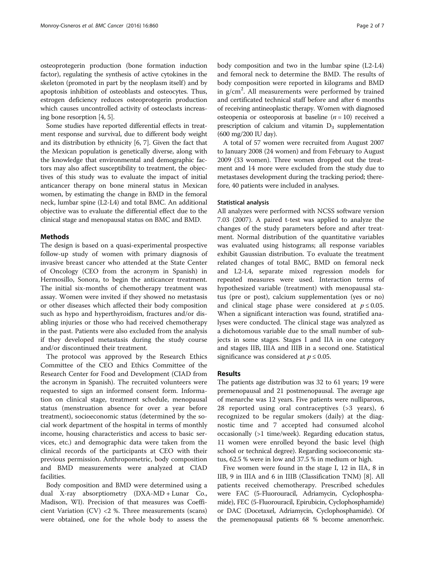osteoprotegerin production (bone formation induction factor), regulating the synthesis of active cytokines in the skeleton (promoted in part by the neoplasm itself) and by apoptosis inhibition of osteoblasts and osteocytes. Thus, estrogen deficiency reduces osteoprotegerin production which causes uncontrolled activity of osteoclasts increasing bone resorption [\[4, 5](#page-6-0)].

Some studies have reported differential effects in treatment response and survival, due to different body weight and its distribution by ethnicity [[6, 7\]](#page-6-0). Given the fact that the Mexican population is genetically diverse, along with the knowledge that environmental and demographic factors may also affect susceptibility to treatment, the objectives of this study was to evaluate the impact of initial anticancer therapy on bone mineral status in Mexican women, by estimating the change in BMD in the femoral neck, lumbar spine (L2-L4) and total BMC. An additional objective was to evaluate the differential effect due to the clinical stage and menopausal status on BMC and BMD.

## Methods

The design is based on a quasi-experimental prospective follow-up study of women with primary diagnosis of invasive breast cancer who attended at the State Center of Oncology (CEO from the acronym in Spanish) in Hermosillo, Sonora, to begin the anticancer treatment. The initial six-months of chemotherapy treatment was assay. Women were invited if they showed no metastasis or other diseases which affected their body composition such as hypo and hyperthyroidism, fractures and/or disabling injuries or those who had received chemotherapy in the past. Patients were also excluded from the analysis if they developed metastasis during the study course and/or discontinued their treatment.

The protocol was approved by the Research Ethics Committee of the CEO and Ethics Committee of the Research Center for Food and Development (CIAD from the acronym in Spanish). The recruited volunteers were requested to sign an informed consent form. Information on clinical stage, treatment schedule, menopausal status (menstruation absence for over a year before treatment), socioeconomic status (determined by the social work department of the hospital in terms of monthly income, housing characteristics and access to basic services, etc.) and demographic data were taken from the clinical records of the participants at CEO with their previous permission. Anthropometric, body composition and BMD measurements were analyzed at CIAD facilities.

Body composition and BMD were determined using a dual X-ray absorptiometry (DXA-MD + Lunar Co., Madison, WI). Precision of that measures was Coefficient Variation (CV) <2 %. Three measurements (scans) were obtained, one for the whole body to assess the body composition and two in the lumbar spine (L2-L4) and femoral neck to determine the BMD. The results of body composition were reported in kilograms and BMD in g/cm<sup>2</sup>. All measurements were performed by trained and certificated technical staff before and after 6 months of receiving antineoplastic therapy. Women with diagnosed osteopenia or osteoporosis at baseline  $(n = 10)$  received a prescription of calcium and vitamin  $D_3$  supplementation (600 mg/200 IU day).

A total of 57 women were recruited from August 2007 to January 2008 (24 women) and from February to August 2009 (33 women). Three women dropped out the treatment and 14 more were excluded from the study due to metastases development during the tracking period; therefore, 40 patients were included in analyses.

#### Statistical analysis

All analyzes were performed with NCSS software version 7.03 (2007). A paired t-test was applied to analyze the changes of the study parameters before and after treatment. Normal distribution of the quantitative variables was evaluated using histograms; all response variables exhibit Gaussian distribution. To evaluate the treatment related changes of total BMC, BMD on femoral neck and L2-L4, separate mixed regression models for repeated measures were used. Interaction terms of hypothesized variable (treatment) with menopausal status (pre or post), calcium supplementation (yes or no) and clinical stage phase were considered at  $p \le 0.05$ . When a significant interaction was found, stratified analyses were conducted. The clinical stage was analyzed as a dichotomous variable due to the small number of subjects in some stages. Stages I and IIA in one category and stages IIB, IIIA and IIIB in a second one. Statistical significance was considered at  $p \le 0.05$ .

#### Results

The patients age distribution was 32 to 61 years; 19 were premenopausal and 21 postmenopausal. The average age of menarche was 12 years. Five patients were nulliparous, 28 reported using oral contraceptives (>3 years), 6 recognized to be regular smokers (daily) at the diagnostic time and 7 accepted had consumed alcohol occasionally (>1 time/week). Regarding education status, 11 women were enrolled beyond the basic level (high school or technical degree). Regarding socioeconomic status, 62.5 % were in low and 37.5 % in medium or high.

Five women were found in the stage I, 12 in IIA, 8 in IIB, 9 in IIIA and 6 in IIIB (Classification TNM) [[8\]](#page-6-0). All patients received chemotherapy. Prescribed schedules were FAC (5-Fluorouracil, Adriamycin, Cyclophosphamide), FEC (5-Fluorouracil, Epirubicin, Cyclophosphamide) or DAC (Docetaxel, Adriamycin, Cyclophosphamide). Of the premenopausal patients 68 % become amenorrheic.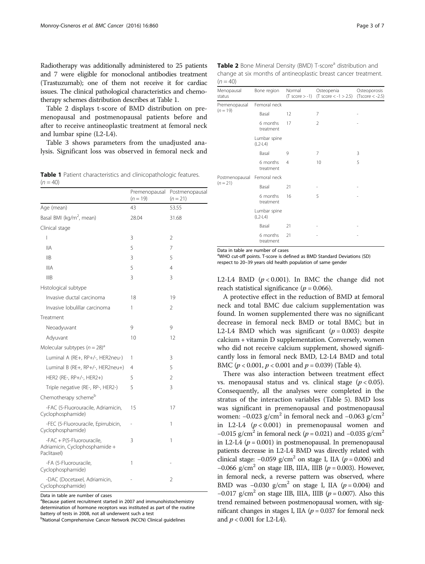Radiotherapy was additionally administered to 25 patients and 7 were eligible for monoclonal antibodies treatment (Trastuzumab); one of them not receive it for cardiac issues. The clinical pathological characteristics and chemotherapy schemes distribution describes at Table 1.

Table 2 displays t-score of BMD distribution on premenopausal and postmenopausal patients before and after to receive antineoplastic treatment at femoral neck and lumbar spine (L2-L4).

Table [3](#page-3-0) shows parameters from the unadjusted analysis. Significant loss was observed in femoral neck and

Table 1 Patient characteristics and clinicopathologic features.  $(n = 40)$ 

|                                                                               | Premenopausal<br>$(n = 19)$ | Postmenopausal<br>$(n = 21)$ |
|-------------------------------------------------------------------------------|-----------------------------|------------------------------|
| Age (mean)                                                                    | 43                          | 53.55                        |
| Basal BMI (kg/m <sup>2</sup> , mean)                                          | 28.04                       | 31.68                        |
| Clinical stage                                                                |                             |                              |
| $\overline{1}$                                                                | 3                           | $\overline{2}$               |
| <b>IIA</b>                                                                    | 5                           | 7                            |
| IIB                                                                           | 3                           | 5                            |
| <b>IIIA</b>                                                                   | 5                           | $\overline{4}$               |
| <b>IIIB</b>                                                                   | 3                           | 3                            |
| Histological subtype                                                          |                             |                              |
| Invasive ductal carcinoma                                                     | 18                          | 19                           |
| Invasive lobulillar carcinoma                                                 | 1                           | 2                            |
| Treatment                                                                     |                             |                              |
| Neoadyuvant                                                                   | 9                           | 9                            |
| Adyuvant                                                                      | 10                          | 12                           |
| Molecular subtypes $(n = 28)^{a}$                                             |                             |                              |
| Luminal A (RE+, RP+/-, HER2neu-)                                              | 1                           | 3                            |
| Luminal B (RE+, RP+/-, HER2neu+)                                              | 4                           | 5                            |
| HER2 (RE-, RP+/-, HER2+)                                                      | 5                           | 2                            |
| Triple negative (RE-, RP-, HER2-)                                             | 5                           | 3                            |
| Chemotherapy schemeb                                                          |                             |                              |
| -FAC (5-Fluorouracile, Adriamicin,<br>Cyclophosphamide)                       | 15                          | 17                           |
| -FEC (5-Fluorouracile, Epirrubicin,<br>Cyclophosphamide)                      |                             | 1                            |
| -FAC + $P(5$ -Fluorouracile,<br>Adriamicin, Cyclophosphamide +<br>Paclitaxel) | 3                           | 1                            |
| -FA (5-Fluorouracile,<br>Cyclophosphamide)                                    | 1                           |                              |
| -DAC (Docetaxel, Adriamicin,<br>Cyclophosphamide)                             |                             | 2                            |

Data in table are number of cases

<sup>a</sup>Because patient recruitment started in 2007 and immunohistochemistry determination of hormone receptors was instituted as part of the routine battery of tests in 2008, not all underwent such a test

<sup>b</sup>National Comprehensive Cancer Network (NCCN) Clinical guidelines

Basal 9 7 3 6 months treatment 4 10 5 Postmenopausal Femoral neck  $(n = 21)$ Basal 21 - - 6 months treatment 16 5 -

| 21) | 6 months<br>treatment     | - 16 | с |  |
|-----|---------------------------|------|---|--|
|     | Lumbar spine<br>$(L2-L4)$ |      |   |  |
|     | Basal                     | 21   | ۰ |  |
|     | 6 months                  | 21   | ۰ |  |

Menopausal status

Premenopausal  $(n = 19)$ 

Data in table are number of cases

treatment

<sup>a</sup>WHO cut-off points. T-score is defined as BMD Standard Deviations (SD) respect to 20–39 years old health population of same gender

L2-L4 BMD ( $p < 0.001$ ). In BMC the change did not reach statistical significance ( $p = 0.066$ ).

A protective effect in the reduction of BMD at femoral neck and total BMC due calcium supplementation was found. In women supplemented there was no significant decrease in femoral neck BMD or total BMC; but in L2-L4 BMD which was significant  $(p = 0.003)$  despite calcium + vitamin D supplementation. Conversely, women who did not receive calcium supplement, showed significantly loss in femoral neck BMD, L2-L4 BMD and total BMC ( $p < 0.001$ ,  $p < 0.001$  and  $p = 0.039$ ) (Table [4](#page-3-0)).

There was also interaction between treatment effect vs. menopausal status and vs. clinical stage ( $p < 0.05$ ). Consequently, all the analyses were completed in the stratus of the interaction variables (Table [5\)](#page-4-0). BMD loss was significant in premenopausal and postmenopausal women:  $-0.023$  g/cm<sup>2</sup> in femoral neck and  $-0.063$  g/cm<sup>2</sup> in L2-L4  $(p < 0.001)$  in premenopausal women and  $-0.015$  g/cm<sup>2</sup> in femoral neck (p = 0.021) and  $-0.035$  g/cm<sup>2</sup> in L2-L4 ( $p = 0.001$ ) in postmenopausal. In premenopausal patients decrease in L2-L4 BMD was directly related with clinical stage:  $-0.059$  g/cm<sup>2</sup> on stage I, IIA ( $p = 0.006$ ) and  $-0.066$  g/cm<sup>2</sup> on stage IIB, IIIA, IIIB ( $p = 0.003$ ). However, in femoral neck, a reverse pattern was observed, where BMD was  $-0.030$  g/cm<sup>2</sup> on stage I, IIA ( $p = 0.004$ ) and  $-0.017$  g/cm<sup>2</sup> on stage IIB, IIIA, IIIB ( $p = 0.007$ ). Also this trend remained between postmenopausal women, with significant changes in stages I, IIA ( $p = 0.037$  for femoral neck and  $p < 0.001$  for L2-L4).

Table 2 Bone Mineral Density (BMD) T-score<sup>a</sup> distribution and change at six months of antineoplastic breast cancer treatment.  $(n = 40)$ 

 $(T \text{ score } > -1)$ 

Basal 12 7 -

Osteopenia (T score < -1 > 2.5)

 $17 \qquad \qquad 2 \qquad \qquad -$ 

Bone region Normal

Femoral neck

6 months treatment

Lumbar spine (L2-L4)

Osteoporosis  $(Tscore < -2.5)$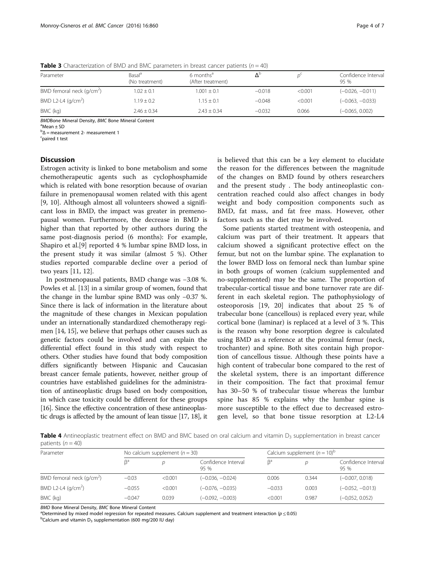| Parameter                             | <b>Basal</b> <sup>a</sup><br>(No treatment) | 6 months <sup>a</sup><br>(After treatment) |          | n       | Confidence Interval<br>95 % |
|---------------------------------------|---------------------------------------------|--------------------------------------------|----------|---------|-----------------------------|
| BMD femoral neck (g/cm <sup>2</sup> ) | $1.02 \pm 0.1$                              | $1.001 \pm 0.1$                            | $-0.018$ | < 0.001 | $(-0.026, -0.011)$          |
| BMD L2-L4 (g/cm <sup>2</sup> )        | $1.19 \pm 0.2$                              | $1.15 + 0.1$                               | $-0.048$ | < 0.001 | $(-0.063, -0.033)$          |
| BMC (kg)                              | $2.46 + 0.34$                               | $2.43 + 0.34$                              | $-0.032$ | 0.066   | $(-0.065, 0.002)$           |

<span id="page-3-0"></span>**Table 3** Characterization of BMD and BMC parameters in breast cancer patients ( $n = 40$ )

BMDBone Mineral Density, BMC Bone Mineral Content

 $^{\text{a}}$ Mean  $\pm$  SD

<sup>b</sup>Δ = measurement 2- measurement 1<br><sup>c</sup>naired t test

paired t test

## **Discussion**

Estrogen activity is linked to bone metabolism and some chemotherapeutic agents such as cyclophosphamide which is related with bone resorption because of ovarian failure in premenopausal women related with this agent [[9, 10](#page-6-0)]. Although almost all volunteers showed a significant loss in BMD, the impact was greater in premenopausal women. Furthermore, the decrease in BMD is higher than that reported by other authors during the same post-diagnosis period (6 months): For example, Shapiro et al.[[9\]](#page-6-0) reported 4 % lumbar spine BMD loss, in the present study it was similar (almost 5 %). Other studies reported comparable decline over a period of two years [[11](#page-6-0), [12](#page-6-0)].

In postmenopausal patients, BMD change was −3.08 %. Powles et al. [[13](#page-6-0)] in a similar group of women, found that the change in the lumbar spine BMD was only −0.37 %. Since there is lack of information in the literature about the magnitude of these changes in Mexican population under an internationally standardized chemotherapy regimen [\[14, 15](#page-6-0)], we believe that perhaps other causes such as genetic factors could be involved and can explain the differential effect found in this study with respect to others. Other studies have found that body composition differs significantly between Hispanic and Caucasian breast cancer female patients, however, neither group of countries have established guidelines for the administration of antineoplastic drugs based on body composition, in which case toxicity could be different for these groups [[16](#page-6-0)]. Since the effective concentration of these antineoplastic drugs is affected by the amount of lean tissue [\[17, 18](#page-6-0)], it is believed that this can be a key element to elucidate the reason for the differences between the magnitude of the changes on BMD found by others researchers and the present study . The body antineoplastic concentration reached could also affect changes in body weight and body composition components such as BMD, fat mass, and fat free mass. However, other factors such as the diet may be involved.

Some patients started treatment with osteopenia, and calcium was part of their treatment. It appears that calcium showed a significant protective effect on the femur, but not on the lumbar spine. The explanation to the lower BMD loss on femoral neck than lumbar spine in both groups of women (calcium supplemented and no-supplemented) may be the same. The proportion of trabecular-cortical tissue and bone turnover rate are different in each skeletal region. The pathophysiology of osteoporosis [[19](#page-6-0), [20](#page-6-0)] indicates that about 25 % of trabecular bone (cancellous) is replaced every year, while cortical bone (laminar) is replaced at a level of 3 %. This is the reason why bone resorption degree is calculated using BMD as a reference at the proximal femur (neck, trochanter) and spine. Both sites contain high proportion of cancellous tissue. Although these points have a high content of trabecular bone compared to the rest of the skeletal system, there is an important difference in their composition. The fact that proximal femur has 30–50 % of trabecular tissue whereas the lumbar spine has 85 % explains why the lumbar spine is more susceptible to the effect due to decreased estrogen level, so that bone tissue resorption at L2-L4

Table 4 Antineoplastic treatment effect on BMD and BMC based on oral calcium and vitamin  $D_3$  supplementation in breast cancer patients  $(n = 40)$ 

| Parameter                  |          | No calcium supplement $(n = 30)$ |                             |           | Calcium supplement $(n = 10)^b$ |                             |  |
|----------------------------|----------|----------------------------------|-----------------------------|-----------|---------------------------------|-----------------------------|--|
|                            | ߪ        |                                  | Confidence Interval<br>95 % | $\beta^a$ |                                 | Confidence Interval<br>95 % |  |
| BMD femoral neck $(q/cm2)$ | $-0.03$  | < 0.001                          | $(-0.036, -0.024)$          | 0.006     | 0.344                           | $(-0.007, 0.018)$           |  |
| BMD L2-L4 $\frac{q}{cm^2}$ | $-0.055$ | < 0.001                          | $(-0.076, -0.035)$          | $-0.033$  | 0.003                           | $(-0.052, -0.013)$          |  |
| BMC (kg)                   | $-0.047$ | 0.039                            | $(-0.092, -0.003)$          | < 0.001   | 0.987                           | $(-0.052, 0.052)$           |  |

BMD Bone Mineral Density, BMC Bone Mineral Content

<sup>a</sup>Determined by mixed model regression for repeated measures. Calcium supplement and treatment interaction ( $p \le 0.05$ )

 $^{b}$ Calcium and vitamin D<sub>3</sub> supplementation (600 mg/200 IU day)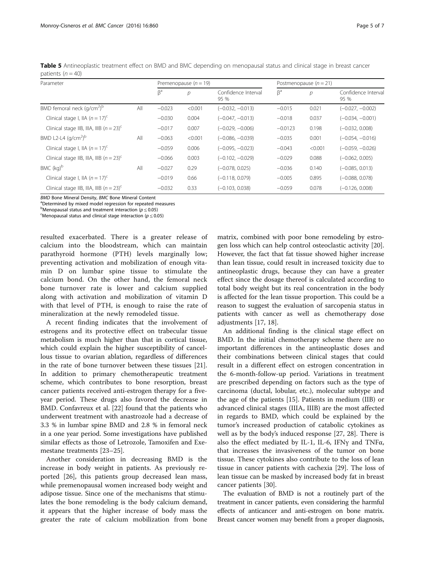<span id="page-4-0"></span>Table 5 Antineoplastic treatment effect on BMD and BMC depending on menopausal status and clinical stage in breast cancer patients  $(n = 40)$ 

| Parameter                                     |     | Premenopause ( $n = 19$ ) |         |                             | Postmenopause ( $n = 21$ ) |               |                             |
|-----------------------------------------------|-----|---------------------------|---------|-----------------------------|----------------------------|---------------|-----------------------------|
|                                               |     | $\beta^a$                 | р       | Confidence Interval<br>95 % | $\beta^a$                  | $\mathcal{D}$ | Confidence Interval<br>95 % |
| BMD femoral neck $(q/cm2)b$                   | All | $-0.023$                  | < 0.001 | $(-0.032, -0.013)$          | $-0.015$                   | 0.021         | $(-0.027, -0.002)$          |
| Clinical stage I, IIA $(n = 17)^{c}$          |     | $-0.030$                  | 0.004   | $(-0.047, -0.013)$          | $-0.018$                   | 0.037         | $(-0.034, -0.001)$          |
| Clinical stage IIB, IIIA, IIIB $(n = 23)^{c}$ |     | $-0.017$                  | 0.007   | $(-0.029, -0.006)$          | $-0.0123$                  | 0.198         | $(-0.032, 0.008)$           |
| BMD L2-L4 $(q/cm2)b$                          | All | $-0.063$                  | < 0.001 | $(-0.086, -0.039)$          | $-0.035$                   | 0.001         | $(-0.054, -0.016)$          |
| Clinical stage I, IIA $(n = 17)^c$            |     | $-0.059$                  | 0.006   | $(-0.095, -0.023)$          | $-0.043$                   | < 0.001       | $(-0.059, -0.026)$          |
| Clinical stage IIB, IIIA, IIIB $(n = 23)^{c}$ |     | $-0.066$                  | 0.003   | $(-0.102, -0.029)$          | $-0.029$                   | 0.088         | $(-0.062, 0.005)$           |
| $BMC$ (kg) <sup>b</sup>                       | All | $-0.027$                  | 0.29    | $(-0.078, 0.025)$           | $-0.036$                   | 0.140         | $(-0.085, 0.013)$           |
| Clinical stage I, IIA $(n = 17)^c$            |     | $-0.019$                  | 0.66    | $(-0.118, 0.079)$           | $-0.005$                   | 0.895         | $(-0.088, 0.078)$           |
| Clinical stage IIB, IIIA, IIIB $(n = 23)^{c}$ |     | $-0.032$                  | 0.33    | $(-0.103, 0.038)$           | $-0.059$                   | 0.078         | $(-0.126, 0.008)$           |

BMD Bone Mineral Density, BMC Bone Mineral Content

<sup>a</sup>Determined by mixed model regression for repeated measures

bMenopausal status and treatment interaction ( $p \le 0.05$ )<br>SMenopausal status and clinical stage interaction ( $p \le 0$ )

 $^{\circ}$ Menopausal status and clinical stage interaction ( $p \le 0.05$ )

resulted exacerbated. There is a greater release of calcium into the bloodstream, which can maintain parathyroid hormone (PTH) levels marginally low; preventing activation and mobilization of enough vitamin D on lumbar spine tissue to stimulate the calcium bond. On the other hand, the femoral neck bone turnover rate is lower and calcium supplied along with activation and mobilization of vitamin D with that level of PTH, is enough to raise the rate of mineralization at the newly remodeled tissue.

A recent finding indicates that the involvement of estrogens and its protective effect on trabecular tissue metabolism is much higher than that in cortical tissue, which could explain the higher susceptibility of cancellous tissue to ovarian ablation, regardless of differences in the rate of bone turnover between these tissues [\[21](#page-6-0)]. In addition to primary chemotherapeutic treatment scheme, which contributes to bone resorption, breast cancer patients received anti-estrogen therapy for a fiveyear period. These drugs also favored the decrease in BMD. Confavreux et al. [[22\]](#page-6-0) found that the patients who underwent treatment with anastrozole had a decrease of 3.3 % in lumbar spine BMD and 2.8 % in femoral neck in a one year period. Some investigations have published similar effects as those of Letrozole, Tamoxifen and Exemestane treatments [\[23](#page-6-0)–[25\]](#page-6-0).

Another consideration in decreasing BMD is the increase in body weight in patients. As previously reported [\[26\]](#page-6-0), this patients group decreased lean mass, while premenopausal women increased body weight and adipose tissue. Since one of the mechanisms that stimulates the bone remodeling is the body calcium demand, it appears that the higher increase of body mass the greater the rate of calcium mobilization from bone

matrix, combined with poor bone remodeling by estrogen loss which can help control osteoclastic activity [\[20](#page-6-0)]. However, the fact that fat tissue showed higher increase than lean tissue, could result in increased toxicity due to antineoplastic drugs, because they can have a greater effect since the dosage thereof is calculated according to total body weight but its real concentration in the body is affected for the lean tissue proportion. This could be a reason to suggest the evaluation of sarcopenia status in patients with cancer as well as chemotherapy dose adjustments [\[17](#page-6-0), [18\]](#page-6-0).

An additional finding is the clinical stage effect on BMD. In the initial chemotherapy scheme there are no important differences in the antineoplastic doses and their combinations between clinical stages that could result in a different effect on estrogen concentration in the 6-month-follow-up period. Variations in treatment are prescribed depending on factors such as the type of carcinoma (ductal, lobular, etc.), molecular subtype and the age of the patients [\[15](#page-6-0)]. Patients in medium (IIB) or advanced clinical stages (IIIA, IIIB) are the most affected in regards to BMD, which could be explained by the tumor's increased production of catabolic cytokines as well as by the body's induced response [\[27, 28](#page-6-0)]. There is also the effect mediated by IL-1, IL-6, IFNγ and TNFα, that increases the invasiveness of the tumor on bone tissue. These cytokines also contribute to the loss of lean tissue in cancer patients with cachexia [[29\]](#page-6-0). The loss of lean tissue can be masked by increased body fat in breast cancer patients [[30\]](#page-6-0).

The evaluation of BMD is not a routinely part of the treatment in cancer patients, even considering the harmful effects of anticancer and anti-estrogen on bone matrix. Breast cancer women may benefit from a proper diagnosis,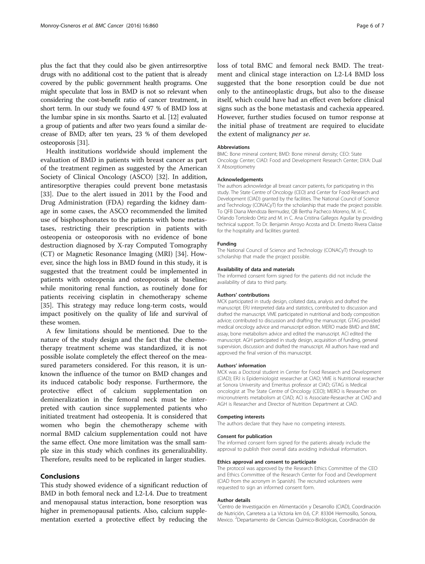plus the fact that they could also be given antirresorptive drugs with no additional cost to the patient that is already covered by the public government health programs. One might speculate that loss in BMD is not so relevant when considering the cost-benefit ratio of cancer treatment, in short term. In our study we found 4.97 % of BMD loss at the lumbar spine in six months. Saarto et al. [\[12\]](#page-6-0) evaluated a group of patients and after two years found a similar decrease of BMD; after ten years, 23 % of them developed osteoporosis [\[31](#page-6-0)].

Health institutions worldwide should implement the evaluation of BMD in patients with breast cancer as part of the treatment regimen as suggested by the American Society of Clinical Oncology (ASCO) [\[32\]](#page-6-0). In addition, antiresorptive therapies could prevent bone metastasis [[33\]](#page-6-0). Due to the alert issued in 2011 by the Food and Drug Administration (FDA) regarding the kidney damage in some cases, the ASCO recommended the limited use of bisphosphonates to the patients with bone metastases, restricting their prescription in patients with osteopenia or osteoporosis with no evidence of bone destruction diagnosed by X-ray Computed Tomography (CT) or Magnetic Resonance Imaging (MRI) [[34\]](#page-6-0). However, since the high loss in BMD found in this study, it is suggested that the treatment could be implemented in patients with osteopenia and osteoporosis at baseline; while monitoring renal function, as routinely done for patients receiving cisplatin in chemotherapy scheme [[35\]](#page-6-0). This strategy may reduce long-term costs, would impact positively on the quality of life and survival of these women.

A few limitations should be mentioned. Due to the nature of the study design and the fact that the chemotherapy treatment scheme was standardized, it is not possible isolate completely the effect thereof on the measured parameters considered. For this reason, it is unknown the influence of the tumor on BMD changes and its induced catabolic body response. Furthermore, the protective effect of calcium supplementation on demineralization in the femoral neck must be interpreted with caution since supplemented patients who initiated treatment had osteopenia. It is considered that women who begin the chemotherapy scheme with normal BMD calcium supplementation could not have the same effect. One more limitation was the small sample size in this study which confines its generalizability. Therefore, results need to be replicated in larger studies.

#### Conclusions

This study showed evidence of a significant reduction of BMD in both femoral neck and L2-L4. Due to treatment and menopausal status interaction, bone resorption was higher in premenopausal patients. Also, calcium supplementation exerted a protective effect by reducing the

loss of total BMC and femoral neck BMD. The treatment and clinical stage interaction on L2-L4 BMD loss suggested that the bone resorption could be due not only to the antineoplastic drugs, but also to the disease itself, which could have had an effect even before clinical signs such as the bone metastasis and cachexia appeared. However, further studies focused on tumor response at the initial phase of treatment are required to elucidate the extent of malignancy per se.

#### Abbreviations

BMC: Bone mineral content; BMD: Bone mineral density; CEO: State Oncology Center; CIAD: Food and Development Research Center; DXA: Dual X Absorptiometry

#### Acknowledgements

The authors acknowledge all breast cancer patients, for participating in this study. The State Centre of Oncology (CEO) and Center for Food Research and Development (CIAD) granted by the facilities. The National Council of Science and Technology (CONACyT) for the scholarship that made the project possible. To QFB Diana Mendoza Bermudez, QB Bertha Pacheco Moreno, M. in C. Orlando Tortoledo Ortiz and M. in C. Ana Cristina Gallegos Aguilar by providing technical support. To Dr. Benjamin Arroyo Acosta and Dr. Ernesto Rivera Claisse for the hospitality and facilities granted.

#### Funding

The National Council of Science and Technology (CONACyT) through to scholarship that made the project possible.

#### Availability of data and materials

The informed consent form signed for the patients did not include the availability of data to third party.

#### Authors' contributions

MCK participated in study design, collated data, analysis and drafted the manuscript. ERJ interpreted data and statistics, contributed to discussion and drafted the manuscript. VME participated in nutritional and body composition advice; contributed to discussion and drafting the manuscript. GTAG provided medical oncology advice and manuscript edition. MERO made BMD and BMC assay, bone metabolism advice and edited the manuscript. ACI edited the manuscript. AGH participated in study design, acquisition of funding, general supervision, discussion and drafted the manuscript. All authors have read and approved the final version of this manuscript.

#### Authors' information

MCK was a Doctoral student in Center for Food Research and Development (CIAD); ERJ is Epidemiologist researcher at CIAD; VME is Nutritional researcher at Sonora University and Emeritus professor at CIAD; GTAG is Medical oncologist at The State Centre of Oncology (CEO); MERO is Researcher on micronutrients metabolism at CIAD; ACI is Associate-Researcher at CIAD and AGH is Researcher and Director of Nutrition Department at CIAD.

#### Competing interests

The authors declare that they have no competing interests.

#### Consent for publication

The informed consent form signed for the patients already include the approval to publish their overall data avoiding individual information.

#### Ethics approval and consent to participate

The protocol was approved by the Research Ethics Committee of the CEO and Ethics Committee of the Research Center for Food and Development (CIAD from the acronym in Spanish). The recruited volunteers were requested to sign an informed consent form.

#### Author details

<sup>1</sup> Centro de Investigación en Alimentación y Desarrollo (CIAD), Coordinación de Nutrición, Carretera a La Victoria km 0.6, C.P. 83304 Hermosillo, Sonora, Mexico. <sup>2</sup>Departamento de Ciencias Químico-Biológicas, Coordinación de